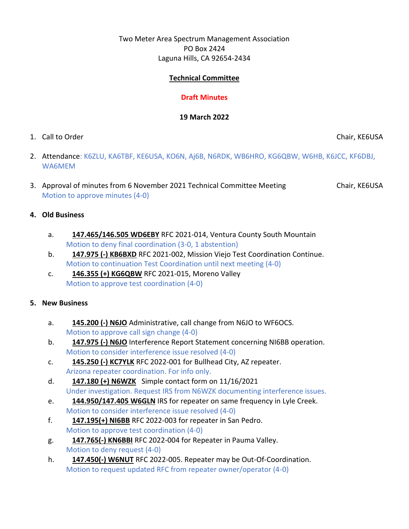# Two Meter Area Spectrum Management Association PO Box 2424 Laguna Hills, CA 92654-2434

# **Technical Committee**

# **Draft Minutes**

#### **19 March 2022**

1. Call to Order Chair, KE6USA

- 2. Attendance: K6ZLU, KA6TBF, KE6USA, KO6N, Aj6B, N6RDK, WB6HRO, KG6QBW, W6HB, K6JCC, KF6DBJ, WA6MEM
- 3. Approval of minutes from 6 November 2021 Technical Committee Meeting Chair, KE6USA Motion to approve minutes (4-0)

# **4. Old Business**

- a. **147.465/146.505 WD6EBY** RFC 2021-014, Ventura County South Mountain Motion to deny final coordination (3-0, 1 abstention)
- b. **147.975 (-) KB6BXD** RFC 2021-002, Mission Viejo Test Coordination Continue. Motion to continuation Test Coordination until next meeting (4-0)
- c. **146.355 (+) KG6QBW** RFC 2021-015, Moreno Valley Motion to approve test coordination (4-0)

# **5. New Business**

- a. **145.200 (-) N6JO** Administrative, call change from N6JO to WF6OCS. Motion to approve call sign change (4-0)
- b. **147.975 (-) N6JO** Interference Report Statement concerning NI6BB operation. Motion to consider interference issue resolved (4-0)
- c. **145.250 (-) KC7YLK** RFC 2022-001 for Bullhead City, AZ repeater. Arizona repeater coordination. For info only.
- d. **147.180 (+) N6WZK** Simple contact form on 11/16/2021 Under investigation. Request IRS from N6WZK documenting interference issues.
- e. **144.950/147.405 W6GLN** IRS for repeater on same frequency in Lyle Creek. Motion to consider interference issue resolved (4-0)
- f. **147.195(+) NI6BB** RFC 2022-003 for repeater in San Pedro. Motion to approve test coordination (4-0)
- g. **147.765(-) KN6BBI** RFC 2022-004 for Repeater in Pauma Valley. Motion to deny request (4-0)
- h. **147.450(-) W6NUT** RFC 2022-005. Repeater may be Out-Of-Coordination. Motion to request updated RFC from repeater owner/operator (4-0)